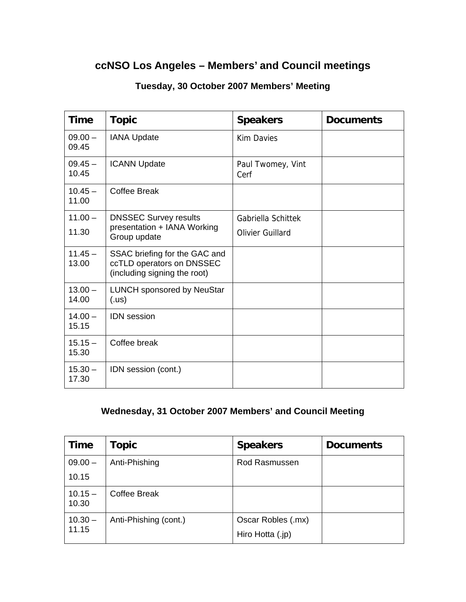## **ccNSO Los Angeles – Members' and Council meetings**

| <b>Time</b>        | <b>Topic</b>                                                                               | <b>Speakers</b>           | <b>Documents</b> |
|--------------------|--------------------------------------------------------------------------------------------|---------------------------|------------------|
| $09.00 -$<br>09.45 | <b>IANA Update</b>                                                                         | <b>Kim Davies</b>         |                  |
| $09.45 -$<br>10.45 | <b>ICANN Update</b>                                                                        | Paul Twomey, Vint<br>Cerf |                  |
| $10.45 -$<br>11.00 | <b>Coffee Break</b>                                                                        |                           |                  |
| $11.00 -$          | <b>DNSSEC Survey results</b><br>presentation + IANA Working<br>Group update                | Gabriella Schittek        |                  |
| 11.30              |                                                                                            | Olivier Guillard          |                  |
| $11.45 -$<br>13.00 | SSAC briefing for the GAC and<br>ccTLD operators on DNSSEC<br>(including signing the root) |                           |                  |
| $13.00 -$<br>14.00 | <b>LUNCH sponsored by NeuStar</b><br>( .us)                                                |                           |                  |
| $14.00 -$<br>15.15 | <b>IDN</b> session                                                                         |                           |                  |
| $15.15 -$<br>15.30 | Coffee break                                                                               |                           |                  |
| $15.30 -$<br>17.30 | IDN session (cont.)                                                                        |                           |                  |

## **Tuesday, 30 October 2007 Members' Meeting**

## **Wednesday, 31 October 2007 Members' and Council Meeting**

| <b>Time</b>        | Topic                 | <b>Speakers</b>                        | <b>Documents</b> |
|--------------------|-----------------------|----------------------------------------|------------------|
| $09.00 -$          | Anti-Phishing         | Rod Rasmussen                          |                  |
| 10.15              |                       |                                        |                  |
| $10.15 -$<br>10.30 | Coffee Break          |                                        |                  |
| $10.30 -$<br>11.15 | Anti-Phishing (cont.) | Oscar Robles (.mx)<br>Hiro Hotta (.jp) |                  |
|                    |                       |                                        |                  |